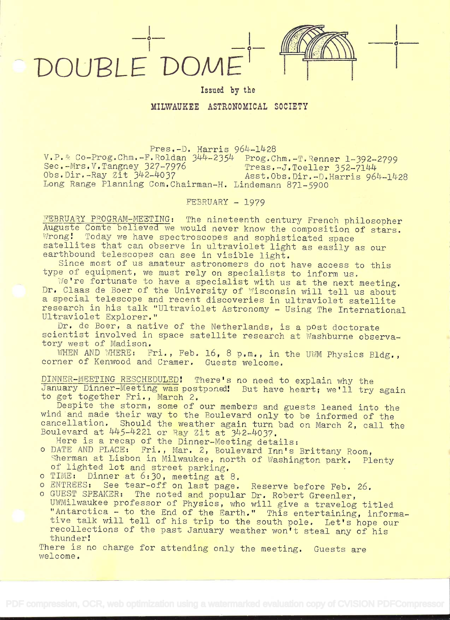DOUPLE' DOME'

Issued by the

**o** <u>the contract of the contract of the contract of the contract of the contract of the contract of the contract of the contract of the contract of the contract of the contract of the contract of the contract of the contr</u>

MILWAUKEE ASTRONOMICAL SOCIETY

Pres.-D. Harris 964-1428 V.P. Co-Prog.Chm.-F.Roldan 344-2354 Prog.Chm.-T.Renner 1-392-2799 Sec.-Mrs.V.Tangney 327-7976 Treas,-J.Toeller 352-7144 Obs.Dir.-Ray Zit 342-4037 Asst.Obs.Dir.-D.Harris 964-1428 Long Range Planning Com. Chairman-H. Lindemann 871-5900

FEBRUARY - 1979

FEBRUARY PROGRAM-MEETING: The nineteenth century French philosopher<br>Auguste Comte believed we would never know the composition of stars.<br>Wrong: Today we have spectroscopes and sophisticated space<br>satellites that can observ

We're fortunate to have a specialist with us at the next meeting.<br>Dr. Claas de Boer of the University of Wisconsin will tell us about<br>a special telescope and recent discoveries in ultraviolet satellite

research in his talk "Ultraviolet Astronomy - Using The International<br>Ultraviolet Explorer."<br>Dr. de Boer, a native of the Netherlands, is a post doctorate<br>scientist involved in space satellite research at Washburne observa

WHEN AND WHERE: Fri., Feb. 16, 8 p.m., in the UWM Physics Bldg.,

DINNER-MEETING RESCHEDULED: There's no need to explain why the January Dinner-Meeting was postponed: But have heart; we'll try again to get together Fri., March 2.<br>Despite the storm, some of our members and guests leaned i

wind and made their way to the Boulevard only to be informed of the<br>cancellation. Should the weather again turn bad on March 2, call the<br>Boulevard at 445-4221 or Ray Zit at 342-4037.

Here is a recap of the Dinner-Meeting details:

- o DATE AND PLACE: Fri., Mar. 2, Boulevard Inn's Brittany Room,<br>Sherman at Lisbon in Milwaukee, north of Washington park. Plenty<br>of lighted lot and street parking.
- o TIME: Dinner at 6:30, meeting at 8.<br>O ENTREES: See tear-off on last page.
- o ENTREES: See tear-off on last page. Reserve before Feb. 26.<br>o GUEST SPEAKER: The noted and popular Dr. Robert Greenler,
- UWMilwaukee professor of Physics, who will give a travelog titled<br>"Antarctica to the End of the Earth." This entertaining, informa-<br>tive talk will tell of his trip to the south pole. Let's hope our<br>recollections of the p

There is no charge for attending only the meeting. Guests are welcome.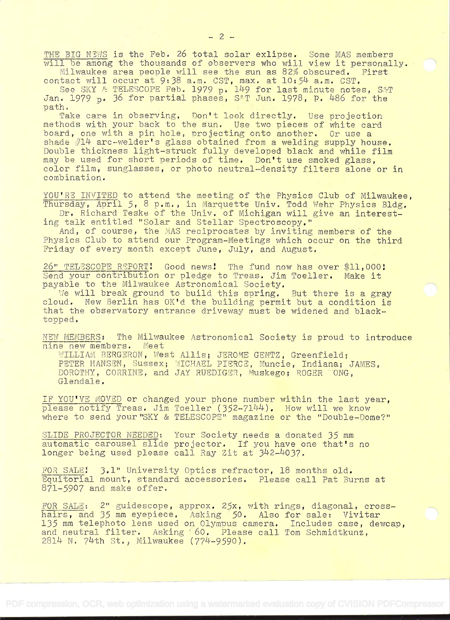THE BIG NIWS is the Feb. 26 total solar exlipse. Some MAS members<br>will be among the thousands of observers who will view it personally.<br>Milwaukee area people will see the sun as 82% obscured. First

contact will occur at  $9:38$  a.m. CST, max. at  $10:54$  a.m. CST.

See SKY & TELESCOPE Feb. 1979 p. 149 for last minute notes, S&T

Jan. 1979 p. 36 for partial phases, S&T Jun. 1978, P. 486 for the<br>path.<br>Take care in observing. Don't look directly. Use projection<br>methods with your back to the sun. Use two pieces of white card<br>board, one with a pin hole board, one with a pin hole, projecting onto another. Or use a<br>shade #14 arc-welder's glass obtained from a welding supply house. Double thickness light-struck fully developed black and while film may be used for short periods of time. Don't use smoked glass, color film, sunglasses, or photo neutral-density filters alone or in combination.

YOU'RE INVITED to attend the meeting of the Physics Club of Milwaukee, Thursday, April 5, 8 p.m., in Marquette Univ. Todd Wehr Physics Bldg. Dr. Richard Teske of the Univ. of Michigan will give an interest-<br>ing talk entitl

And, of course, the MAS reciprocates by inviting members of the Physics Club to attend our Program-Meetings which occur on the third Friday of every month except June, July, and August.

26" TELESCOPE REPORT: Good news: The fund now has over \$11,000:<br>Send your contribution or pledge to Treas. Jim Toeller. Make it payable to the Milwaukee Astronomical Society.

We will break ground to build this spring. But there is a gray cloud. New Berlin has OK'd the building permit but a condition is that the observatory entrance driveway must be widened and black- topped.

NEW MEMBERS: The Milwaukee Astronomical Society is proud to introduce<br>nine new members. Meet nine new members.

WILLIAM BERGERON, West Allis; JEROME GENTZ, Greenfield; PETER HANSEN, Sussex; MICHAEL PIERCE, Muncie, Indiana; JAMES, DOROTHY, CORRINE, and JAY RUEDIGER, Muskego; ROGER YONG,

IF YOU'VE MOVED or changed your phone number within the last year, please notify Treas. Jim Toeller (352-7144). How will we know where to send your"SKY & TELESCOPE" magazine or the "Double-Dome?"

SLIDE PROJECTOR NEEDED: Your Society needs a donated 35 mm automatic carousel slide projector. If you have one that's no longer being used please call Ray Zit at 342-4037.

FOR SALE: 3.1" University Optics refractor, 18 months old.<br>Equitorial mount, standard accessories. Please call Pat Burns at 871-5907 and make offer.

FOR SALE: 2" guidescope, approx.  $25x$ , with rings, diagonal, cross-<br>hairs, and 35 mm eyepiece. Asking 50. Also for sale: Vivitar 135 mm telephoto lens used on Olympus camera. Includes case, dewcap, and neutral filter. Asking 60. Please call Tom Schmidtkunz, 2814 N. 74th St., Milwaukee (774-9590).